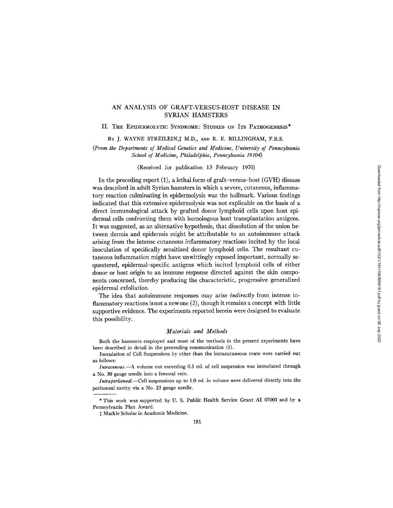# AN ANALYSIS OF GRAFT-VERSUS-HOST DISEASE IN SYRIAN HAMSTERS

# II. THE EPIDERMOLYTIC SYNDROME: STUDIES ON ITS PATHOGENESIS\*

BY J. WAYNE STREILEIN, I M.D., AND R. E. BILLINGHAM, F.R.S.

*(From the Departments of Medical Genetics and Medicine, University of Pennsylvania School of Medicine, Philadelphia, Pennsylvania 19104)* 

## (Received for publication 13 February 1970)

In the preceding report (1), a lethal form of graft-versus-host (GVH) disease was described in adult Syrian hamsters in which a severe, cutaneous, inflammatory reaction culminating in epidermolysis was the hallmark. Various findings indicated that this extensive epidermolysis was not explicable on the basis of a direct immunological attack by grafted donor lymphoid cells upon host epidermal cells confronting them with homologous host transplantation antigens. It was suggested, as an alternative hypothesis, that dissolution of the union between dermis and epidermis might be attributable to an autoimmune attack arising from the intense cutaneous inflammatory reactions incited by the local inoculation of specifically sensitized donor lymphoid cells. The resultant cutaneous inflammation might have unwittingly exposed important, normally sequestered, epidermal-specific antigens which incited lymphoid cells of either donor or host origin to an immune response directed against the skin components concerned, thereby producing the characteristic, progressive generalized epidermal exfoliation.

The idea that autoimmune responses may arise *indirectly* from intense inflammatory reactions is not a new one (2), though it remains a concept with little supportive evidence. The experiments reported herein were designed to evaluate this possibility.

### *Materials and Methods*

Both the hamsters employed and most of the methods in the present experiments have been described in detail in the preceeding communication (1).

Inoculation of Cell Suspensions by other than the intracutaneous route were carried out as follows:

*Intravenous.--A* volume not exceeding 0.5 ml. of cell suspension was introduced through a No. 30 gauge needle into a femoral vein.

*Intraperitoneal.--Cell* suspensions up to 1.0 ml. in volume were delivered directly into the peritoneal cavity via a No. 23 gauge needle.

\* This work was supported by U. S. Public Health Service Grant AI 07001 and by a Pennsylvania Plan Award.

 $$$  Markle Scholar in Academic Medicine.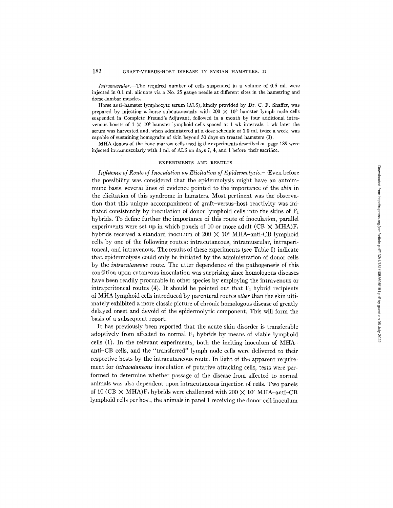*lntramuscular.--The* required number of cells suspended in a volume of 0.5 ml. were injected in 0.1 ml. aliquots via a No. 25 gauge needle at different sites in the hamstring and dorso-lumbar muscles.

Horse anti-hamster lymphocyte serum (ALS), kindly provided by Dr. C. F. Shaffer, was prepared by injecting a horse subcutaneously with  $200 \times 10^6$  hamster lymph node cells suspended in Complete Freund's Adjuvant, followed in a month by four additional intravenous boosts of  $1 \times 10^9$  hamster lymphoid cells spaced at 1 wk intervals. 1 wk later the serum was harvested and, when administered at a dose schedule of 1.0 ml. twice a week, was capable of sustaining homografts of skin beyond 50 days on treated hamsters (3).

MHA donors of the bone marrow cells used ig the experiments described on page 189 were injected intramuscularly with 1 ml. of ALS on days 7, 4, and 1 before their sacrifice.

#### EXPERIMENTS AND RESULTS

*Influence of Route of Inoculation on Elicitation of Epidermolysis.*—Even before the possibility was considered that the epidermolysis might have an autoimmune basis, several lines of evidence pointed to the importance of the *skin* in the elicitation of this syndrome in hamsters. Most pertinent was the observation that this unique accompaniment of graft-versus-host reactivity was initiated consistently by inoculation of donor lymphoid cells into the skins of  $F_1$ hybrids. To define further the importance of this route of inoculation, parallel experiments were set up in which panels of 10 or more adult (CB  $\times$  MHA)F<sub>1</sub> hybrids received a standard inoculum of  $200 \times 10^6$  MHA-anti-CB lymphoid cells by one of the following routes: intracutaneous, intramuscular, intraperitoneal, and intravenous. The results of these experiments (see Table I) indicate that epidermolysis could only be initiated by the administration of donor cells by the *intracutaneous* route. The utter dependence of the pathogenesis of this condition upon cutaneous inoculation was surprising since homologous diseases have been readily procurable in other species by employing the intravenous or intraperitoneal routes  $(4)$ . It should be pointed out that  $F_1$  hybrid recipients of MHA lymphoid cells introduced by parenteral routes *other* than the skin ultimately exhibited a more classic picture of chronic homologous disease of greatly delayed onset and devoid of the epidermolytic component. This will form the basis of a subsequent report.

It has previously been reported that the acute skin disorder is transferable adoptively from affected to normal  $F_1$  hybrids by means of viable lymphoid cells (1). In the relevant experiments, both the inciting inoculum of MHAanti-CB cells, and the "transferred" lymph node cells were delivered to their respective hosts by the intracutaneous route. In light of the apparent requirement for *intracutaneous* inoculation of putative attacking cells, tests were performed to determine whether passage of the disease from affected to normal animals was also dependent upon intracutaneous injection of cells. Two panels of 10 (CB  $\times$  MHA)F<sub>1</sub> hybrids were challenged with 200  $\times$  10<sup>6</sup> MHA-anti-CB lymphoid cells per host, the animals in panel 1 receiving the donor cell inoculum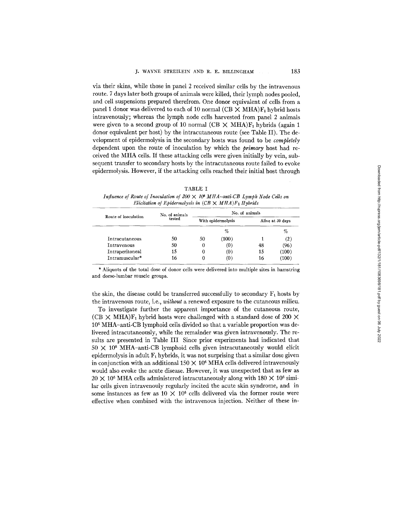via their skins, while those in panel 2 received similar cells by the intravenous route. 7 days later both groups of animals were killed, their lymph nodes pooled, and cell suspensions prepared therefrom. One donor equivalent of cells from a panel 1 donor was delivered to each of 10 normal (CB  $\times$  MHA)F<sub>1</sub> hybrid hosts intravenously; whereas the lymph node cells harvested from panel 2 animals were given to a second group of 10 normal (CB  $\times$  MHA)F<sub>1</sub> hybrids (again 1 donor equivalent per host) by the intracutaneous route (see Table II). The development of epidermolysis in the secondary hosts was found to be *completely*  dependent upon the route of inoculation by which the *primary* host had received the MHA cells. If these attacking cells were given initially by vein, subsequent transfer to secondary hosts by the intracutaneous route failed to evoke epidermolysis. However, if the attacking cells reached their initial host through

|--|--|--|

*Influence of Route of Inoculation of 200 X 106 MHA-anti-CB Lymph Node Cells on Elicitation of Epidermolysis in*  $(CB \times MHA)F_1$  *Hybrids* 

| Route of inoculation | No. of animals | No. of animals     |       |                  |       |
|----------------------|----------------|--------------------|-------|------------------|-------|
|                      | tested         | With epidermolysis |       | Alive at 30 days |       |
|                      |                |                    | $\%$  |                  | $\%$  |
| Intracutaneous       | 50             | 50                 | (100) |                  | (2)   |
| <b>Intravenous</b>   | 50             | 0                  | (0)   | 48               | (96)  |
| Intraperitoneal      | 15             | 0                  | (0)   | 15               | (100) |
| Intramuscular*       | 16             | 0                  | ω.    | 16               | (100) |

\* Aliquots of the total dose of donor cells were delivered into multiple sites in hamstring and dorso-lumbar muscle groups.

the skin, the disease could be transferred successfully to secondary  $F_1$  hosts by the intravenous route, i.e., *without a* renewed exposure to the cutaneous milieu.

To investigate further the apparent importance of the cutaneous route, (CB  $\times$  MHA)F<sub>1</sub> hybrid hosts were challenged with a standard dose of 200  $\times$ 106 MHA-anfi-CB lymphoid cells divided so that a variable proportion was delivered intracutaneously, while the remainder was given intravenously. The results are presented in Table III Since prior experiments had indicated that  $50 \times 10^6$  MHA-anti-CB lymphoid cells given intracutaneously would elicit epidermolysis in adult  $F_1$  hybrids, it was not surprising that a similar dose given in conjunction with an additional  $150 \times 10^6$  MHA cells delivered intravenously would also evoke the acute disease. However, it was unexpected that as few as  $20 \times 10^6$  MHA cells administered intracutaneously along with 180  $\times$  10<sup>6</sup> similar cells given intravenouly regularly incited the acute skin syndrome, and in some instances as few as  $10 \times 10^6$  cells delivered via the former route were effective when combined with the intravenous injection. Neither of these in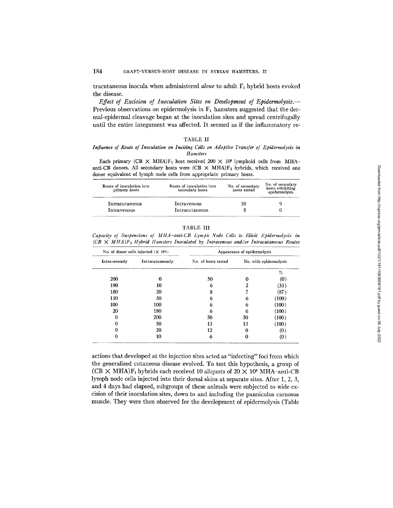tracutaneous inocula when administered *alone* to adult F<sub>1</sub> hybrid hosts evoked the disease.

*Effect of Excision of Inoculation Sites on Development of Epidermolysis.--*  Previous observations on epidermolysis in  $F_1$  hamsters suggested that the dermal-epidermal cleavage began at the inoculation sites and spread centrifugally until the entire integument was affected. It seemed as if the inflammatory re-

## TABLE II

## *Influence of Route of Inoculation on Inciting Cells on Adoptive Transfer of Epidermolysis in Hamsters*

Each primary (CB  $\times$  MHA)F<sub>1</sub> host received 200  $\times$  10<sup>6</sup> lymphoid cells from MHAanti-CB donors. All secondary hosts were  $(CB \times MHA)F_1$  hybrids, which received one donor equivalent of lymph node cells from appropriate primary hosts.

| Route of inoculation into<br>primary hosts | Route of inoculation into<br>secondary hosts | No. of secondary<br>hosts tested | No. of secondary<br>hosts exhibiting<br>epidermolysis |
|--------------------------------------------|----------------------------------------------|----------------------------------|-------------------------------------------------------|
| Intracutaneous                             | Intravenous                                  | 10                               |                                                       |
| Intravenous                                | Intracutaneous                               |                                  |                                                       |

## TABLE III

*Capacity of Suspensions of MHA-anti-CB Lymph Node Cells to Elicit Epidermolysis in*   $(CB \times MHA)F_1$  Hybrid Hamsters Inoculated by Intravenous and/or Intracutaneous Routes

| No. of donor cells injected $(X 106)$ : |                  |                     | Appearance of epidermolysis |                   |
|-----------------------------------------|------------------|---------------------|-----------------------------|-------------------|
| Intravenously                           | Intracutaneously | No. of hosts tested | No. with epidermolysis      |                   |
|                                         |                  |                     |                             | %                 |
| 200                                     |                  | 50                  |                             | $\left( 0\right)$ |
| 190                                     | 10               | 6                   |                             | (33)              |
| 180                                     | 20               | 8                   |                             | (87)              |
| 150                                     | 50               | 0                   | h                           | (100)             |
| 100                                     | 100              |                     |                             | (100)             |
| 20                                      | 180              |                     |                             | (100)             |
| O                                       | 200              | 50                  | 50                          | (100)             |
|                                         | 50               | 13                  | 13                          | (100)             |
| 0                                       | 20               | 12                  |                             | (0)               |
| 0                                       | 10               | 6                   |                             | (0)               |

actions that developed at the injection sites acted as "infecting" foci from which the generalized cutaneous disease evolved. To test this hypothesis, a group of (CB  $\times$  MHA)F<sub>1</sub> hybrids each received 10 aliquots of 20  $\times$  10<sup>6</sup> MHA-anti-CB lymph node cells injected into their dorsal skins at separate sites. After 1, 2, 3, and 4 days had elapsed, subgroups of these animals were subjected to wide excision of their inoculation sites, down to and including the panniculus carnosus muscle. They were then observed for the development of epidermolysis (Table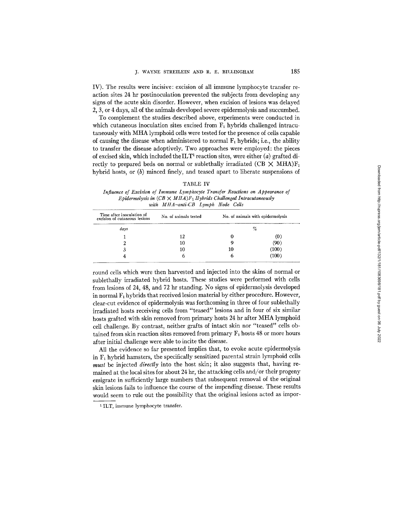IV). The results were incisive: excision of all immune lymphocyte transfer reaction sites 24 hr postinoculation prevented the subjects from developing any signs of the acute skin disorder. However, when excision of lesions was delayed 2, 3, or 4 days, all of the animals developed severe epidermolysis and succumbed.

To complement the studies described above, experiments were conducted in which cutaneous inoculation sites excised from  $F_1$  hybrids challenged intracutaneously with MHA lymphoid cells were tested for the presence of cells capable of causing the disease when administered to normal  $F_1$  hybrids; i.e., the ability to transfer the disease adoptively. Two approaches were employed: the pieces of excised skin, which included the  $\text{ILT}^1$  reaction sites, were either (a) grafted directly to prepared beds on normal or sublethally irradiated (CB  $\times$  MHA) $F_1$ hybrid hosts, or (b) minced finely, and teased apart to liberate suspensions of

*Influence of Excision of Immune Lymphocyte Transfer Reactions on Appearance of Epidermolysis in*  $(CB \times MHA)F_1$  *Hybrids Challenged Intracutaneously with MHA-anti-CB Lymph Node Cells* 

| Time after inoculation of<br>excision of cutaneous lesions | No. of animals tested | No. of animals with epidermolysis<br>% |                   |
|------------------------------------------------------------|-----------------------|----------------------------------------|-------------------|
| days                                                       |                       |                                        |                   |
|                                                            | 12                    |                                        | υ.                |
|                                                            | 10                    |                                        | (90               |
|                                                            | 10                    | 10                                     | (100)             |
|                                                            |                       |                                        | .100 <sup>o</sup> |

round cells which were then harvested and injected into the skins of normal or sublethally irradiated hybrid hosts. These studies were performed with cells from lesions of 24, 48, and 72 hr standing. No signs of epidermolysis developed in normal  $F_1$  hybrids that received lesion material by either procedure. However, clear-cut evidence of epidermolysis was forthcoming in three of four sublethally irradiated hosts receiving cells from "teased" lesions and in four of six similar hosts grafted with skin removed from primary hosts 24 hr after MHA lymphoid cell challenge. By contrast, neither grafts of intact skin nor "teased" cells obtained from skin reaction sites removed from primary  $F_1$  hosts 48 or more hours after initial challenge were able to incite the disease.

All the evidence so far presented implies that, to evoke acute epidermolysis in  $F_1$  hybrid hamsters, the specifically sensitized parental strain lymphoid cells *must* be injected *directly* into the host skin; it also suggests that, having remained at the local sites for about 24 hr, the attacking cells and/or their progeny emigrate in sufficiently large numbers that subsequent removal of the original skin lesions fails to influence the course of the impending disease. These results would seem to rule out the possibility that the original lesions acted as impor-

<sup>&</sup>lt;sup>1</sup> ILT, immune lymphocyte transfer.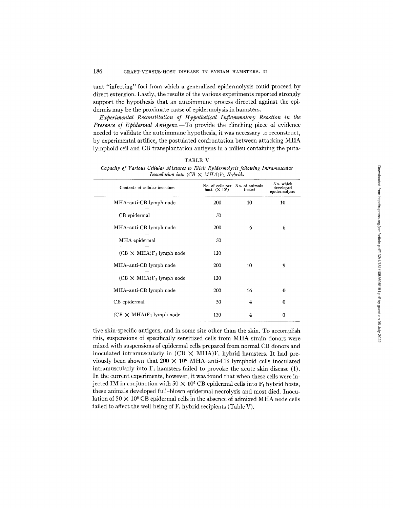tant "infecting" foci from which a generalized epidermolysis could proceed by direct extension. Lastly, the results of the various experiments reported strongly support the hypothesis that an autoimmune process directed against the epidermis may be the proximate cause of epidermolysis in hamsters.

*Experimental Reconstitution of Hypothetical Inflammatory Reaction in the Presence of Epidermal Antigens.--To* provide the clinching piece of evidence needed to validate the autoimmune hypothesis, it was necessary to reconstruct, by experimental artifice, the postulated confrontation between attacking MHA lymphoid cell and CB transplantation antigens in a milieu containing the puta-

| TABLE V                                                                               |
|---------------------------------------------------------------------------------------|
| Capacity of Various Cellular Mixtures to Elicit Epidermolysis following Intramuscular |
| Inoculation into $(CB \times MHA)F_1$ Hybrids                                         |

| Contents of cellular inoculum             | No. of cells per No. of animals<br>host $(X 106)$ | tested | No. which<br>developed<br>epidermolysis |  |  |
|-------------------------------------------|---------------------------------------------------|--------|-----------------------------------------|--|--|
| MHA-anti-CB lymph node                    | 200                                               | 10     | 10                                      |  |  |
| CB epidermal                              | 50                                                |        |                                         |  |  |
| MHA-anti-CB lymph node                    | 200                                               | 6      | 6                                       |  |  |
| MHA epidermal                             | 50                                                |        |                                         |  |  |
| $\div$<br>$(CB \times MHA)F_1$ lymph node | 120                                               |        |                                         |  |  |
| MHA-anti-CB lymph node<br>┿               | 200                                               | 10     | 9                                       |  |  |
| $(CB \times MHA)F_1$ lymph node           | 120                                               |        |                                         |  |  |
| MHA-anti-CB lymph node                    | 200                                               | 16     | 0                                       |  |  |
| CB epidermal                              | 50                                                | 4      | $\bf{0}$                                |  |  |
| $(CB \times MHA)F_1$ lymph node           | 120                                               | 4      | 0                                       |  |  |

tive skin-specific antigens, and in some site other than the skin. To accomplish this, suspensions of specifically sensitized cells from MHA strain donors were mixed with suspensions of epidermal cells prepared from normal CB donors and inoculated intramuscularly in  $(CB \times MHA)F_1$  hybrid hamsters. It had previously been shown that  $200 \times 10^6$  MHA-anti-CB lymphoid cells inoculated intramuscularly into  $F_1$  hamsters failed to provoke the acute skin disease (1). In the current experiments, however, it was found that when these cells were injected IM in conjunction with  $50 \times 10^6$  CB epidermal cells into  $F_1$  hybrid hosts, these animals developed full-blown epidermal necrolysis and most died. Inoculation of  $50 \times 10^6$  CB epidermal cells in the absence of admixed MHA node cells failed to affect the well-being of  $F_1$  hybrid recipients (Table V).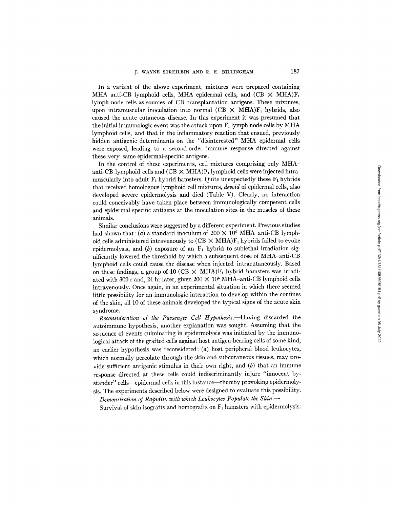In a variant of the above experiment, mixtures were prepared containing MHA-anti-CB lymphoid cells, MHA epidermal cells, and  $(CB \times MHA)F_1$ lymph node cells as sources of CB transplantation antigens. These mixtures, upon intramuscular inoculation into normal (CB  $\times$  MHA)F<sub>1</sub> hybrids, also caused the acute cutaneous disease. In this experiment it was presumed that the initial immunologic event was the attack upon  $F_1$  lymph node cells by MHA lymphoid cells, and that in the inflammatory reaction that ensued, previously hidden antigenic determinants on the "disinterested" MHA epidermal cells were exposed, leading to a second-order immune response directed against these very same epidermal-specific antigens.

In the control of these experiments, cell mixtures comprising only MHAanti-CB lymphoid cells and  $(CB \times MHA)F_1$  lymphoid cells were injected intramuscularly into adult  $F_1$  hybrid hamsters. Quite unexpectedly these  $F_1$  hybrids that received homologous lymphoid cell mixtures, *devoid* of epidermal cells, also developed severe epidermolysis and died (Table V). Clearly, no interaction could conceivably have taken place between immunologically competent cells and epidermal-specific antigens at the inoculation sites in the muscles of these animals.

Similar conclusions were suggested by a different experiment. Previous studies had shown that: (a) a standard inoculum of  $200 \times 10^6$  MHA-anti-CB lymphoid cells administered intravenously to  $(CB \times MHA)F_1$  hybrids failed to evoke epidermolysis, and (b) exposure of an  $F_1$  hybrid to sublethal irradiation significantly lowered the threshold by which a subsequent dose of MHA-anti-CB lymphoid cells could cause the disease when injected intracutaneously. Based on these findings, a group of 10 (CB  $\times$  MHA)F<sub>1</sub> hybrid hamsters was irradiated with 300 r and, 24 hr later, given  $200 \times 10^6$  MHA-anti-CB lymphoid cells intravenously. Once again, in an experimental situation in which there seemed little possibility for an immunologic interaction to develop within the confines of the skin, all 10 of these animals developed the typical signs of the acute skin syndrome.

*Reconsideration of the Passenger Cell Hypothesis.--Having* discarded the autoimmune hypothesis, another explanation was sought. Assuming that the sequence of events culminating in epidermolysis was initiated by the immunological attack of the grafted cells against host antigen-bearing cells of some kind, an earlier hypothesis was reconsidered: (a) host peripheral blood leukocytes, which normally percolate through the skin and subcutaneous tissues, may provide sufficient antigenic stimulus in their own right, and  $(b)$  that an immune response directed at these cells could indiscriminantly injure "innocent bystander" cells--epidermal cells in this instance--thereby provoking epidermolysis. The experiments described below were designed to evaluate this possibility.

*Demonstration of Rapidity with which Leukocytes Populate the Skin.-* 

Survival of skin isografts and homografts on  $F_1$  hamsters with epidermolysis: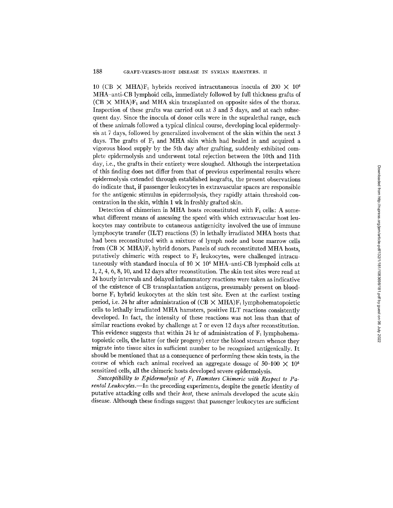10 (CB  $\times$  MHA)F<sub>1</sub> hybrids received intracutaneous inocula of 200  $\times$  10<sup>6</sup> MHA-anti-CB lymphoid cells, immediately followed by full thickness grafts of  $(CB \times MHA)F_1$  and MHA skin transplanted on opposite sides of the thorax. Inspection of these grafts was carried out at 3 and 5 days, and at each subsequent day. Since the inocula of donor cells were in the supralethal range, each of these animals followed a typical clinical course, developing local epidermolysis at 7 days, followed by generalized involvement of the skin within the next 3 days. The grafts of  $F_1$  and MHA skin which had healed in and acquired a vigorous blood supply by the 5th day after grafting, suddenly exhibited complete epidermolysis and underwent total rejection between the 10th and 11th day, i.e., the grafts in their entirety were sloughed. Although the interpretation of this finding does not differ from that of previous experimental results where epidermolysis extended through established isografts, the present observations do indicate that, if passenger leukocytes in extravascular spaces are responsible for the antigenic stimulus in epidermolysis, they rapidly attain threshold concentration in the skin, within 1 wk in freshly grafted skin.

Detection of chimerism in MHA hosts reconstituted with  $F_1$  cells: A somewhat different means of assessing the speed with which extravascular host leukocytes may contribute to cutaneous antigenicity involved the use of immune lymphocyte transfer (ILT) reactions (5) in lethally irradiated MHA hosts that had been reconstituted with a mixture of lymph node and bone marrow cells from  $(CB \times MHA)F_1$  hybrid donors. Panels of such reconstituted MHA hosts, putatively chimeric with respect to  $F_1$  leukocytes, were challenged intracutaneously with standard inocula of  $10 \times 10^6$  MHA-anti-CB lymphoid cells at 1, 2, 4, 6, 8, 10, and 12 days after reconstitution. The skin test sites were read at 24 hourly intervals and delayed inflammatory reactions were taken as indicative of the existence of CB transplantation antigens, presumably present on bloodborne  $F_1$  hybrid leukocytes at the skin test site. Even at the earliest testing period, i.e. 24 hr after administration of  $(CB \times MHA)F_1$  lymphohematopoietic cells to lethally irradiated MHA hamsters, positive ILT reactions consistently developed. In fact, the intensity of these reactions was not less than that of similar reactions evoked by challenge at 7 or even 12 days after reconstitution. This evidence suggests that within 24 hr of administration of  $F_1$  lymphohematopoietic cells, the latter (or their progeny) enter the blood stream whence they migrate into tissue sites in sufficient number to be recognized antigenically. It should be mentioned that as a consequence of performing these skin tests, in the course of which each animal received an aggregate dosage of 50-100  $\times$  10<sup>6</sup> sensitized cells, all the chimeric hosts developed severe epidermolysis.

Susceptibility to Epidermolysis of  $F_1$  Hamsters Chimeric with Respect to Pa*rental Leukocytes.--In* the preceding experiments, despite the genetic identity of putative attacking cells and their *host,* these animals developed the acute skin disease. Although these findings suggest that passenger leukocytes are sufficient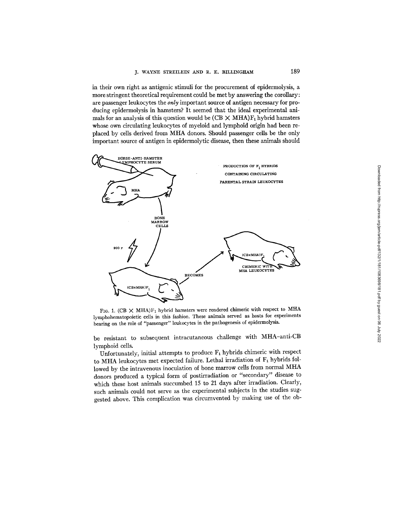in their own right as antigenic stimuli for the procurement of epidermolysis, a more stringent theoretical requirement could be met by answering the corollary: are passenger leukocytes the *only* important source of antigen necessary for producing epidermolysis in hamsters? It seemed that the ideal experimental animals for an analysis of this question would be  $(CB \times MHA)F_1$  hybrid hamsters whose own circulating leukocytes of myeloid and lymphoid origin had been replaced by cells derived from MHA donors. Should passenger cells be the only important source of antigen in epidermolytic disease, then these animals should



FIG. 1. (CB  $\times$  MHA)F<sub>1</sub> hybrid hamsters were rendered chimeric with respect to MHA lymphohematopoietic cells in this fashion. These animals served as hosts for experiments bearing on the role of "passenger" leukocytes in the pathogenesis of epidermolysis.

be resistant to subsequent intracutaneous challenge with MHA-anti-CB lymphoid cells.

Unfortunately, initial attempts to produce  $F_1$  hybrids chimeric with respect to MHA leukocytes met expected failure. Lethal irradiation of  $F_1$  hybrids followed by the intravenous inoculation of bone marrow ceils from normal MHA donors produced a typical form of postirradiation or "secondary" disease to which these host animals succumbed 15 to 21 days after irradiation. Clearly, such animals could not serve as the experimental subjects in the studies suggested above. This complication was circumvented by making use of the ob-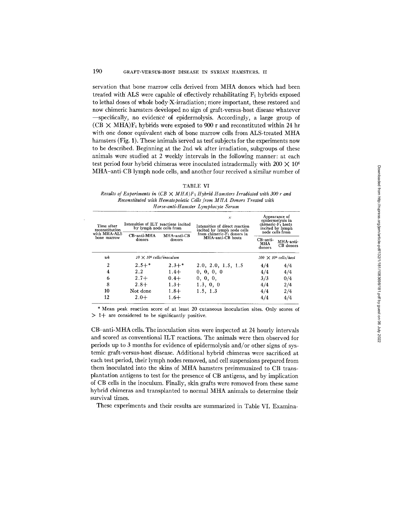servation that bone marrow cells derived from MHA donors which had been treated with ALS were capable of effectively rehabilitating  $F_1$  hybrids exposed to lethal doses of whole body'X-irradiation; more important, these restored and now chimeric hamsters developed no sign of graft-versus-host disease whatever -specifically, no evidence of epidermolysis. Accordingly, a large group of  $(CB \times MHA)F_1$  hybrids were exposed to 900 r and reconstituted within 24 hr with one donor equivalent each 6f bone marrow cells from ALS-treated MHA hamsters (Fig. 1). These animals served as test subjects for the experiments now to be described. Beginning at the 2nd wk after irradiation, subgroups of these animals were studied at 2 weekly intervals in the following manner: at each test period four hybrid chimeras were inoculated intradermally with 200  $\times$  10<sup>6</sup> MHA-anti-CB lymph node cells, and another four received a similar number of

#### TABLE VI

*Results of Experiments in*  $(CB \times MHA)F_1H$  *whid Hamsters Irradiated with 300 r and Reconstituted with Hematopoietic Cells from MHA Donors Treated with Horse-anti-Hamster Lymphocyte Serum* 

| Time after<br>reconstitution<br>with MHA-ALS<br>CB-anti-MHA<br>bone marrow<br>donors | Intensities of ILT reactions incited<br>by lymph node cells from |                             | $\mathbb{R}^n$<br>Intensities of direct reaction<br>incited by lymph node cells<br>from chimeric-F <sub>1</sub> donors in<br>MHA-anti-CB<br>MHA-anti-CB hosts<br>donors | Appearance of<br>epidermolysis in<br>chimeric-F <sub>1</sub> hosts<br>incited by lymph<br>node cells from |                              |
|--------------------------------------------------------------------------------------|------------------------------------------------------------------|-----------------------------|-------------------------------------------------------------------------------------------------------------------------------------------------------------------------|-----------------------------------------------------------------------------------------------------------|------------------------------|
|                                                                                      |                                                                  | $CB-anti-$<br>MHA<br>donors |                                                                                                                                                                         | MHA-anti-<br>CB donors                                                                                    |                              |
| wk                                                                                   | $10 \times 10^6$ cells/inoculum                                  |                             |                                                                                                                                                                         |                                                                                                           | $200 \times 10^6$ cells/host |
| 2                                                                                    | $2.5+*$                                                          | $2.3 +$ *                   | 2.0, 2.0, 1.5, 1.5                                                                                                                                                      | 4/4                                                                                                       | 4/4                          |
| 4                                                                                    | $2.2^{\circ}$                                                    | $1.4+$                      | 0, 0, 0, 0                                                                                                                                                              | 4/4                                                                                                       | 4/4                          |
| 6                                                                                    | $2.7 +$                                                          | $0.4 +$                     | 0, 0, 0,                                                                                                                                                                | 3/3                                                                                                       | 0/4                          |
| 8                                                                                    | $2.8+$                                                           | $1.3+$                      | 1.3, 0, 0                                                                                                                                                               | 4/4                                                                                                       | 2/4                          |
| 10                                                                                   | Not done                                                         | $1.8 +$                     | 1.5, 1.3                                                                                                                                                                | 4/4                                                                                                       | 2/4                          |
| 12                                                                                   | $2.0 +$                                                          | $1.6+$                      |                                                                                                                                                                         | 4/4                                                                                                       | 4/4                          |

\* Mean peak reaction score of at least 20 cutaneous inoculation sites. Only scores of  $> 1+$  are considered to be significantly positive.

CB-anti-MHA cells. The inoculation sites were inspected at 24 hourly intervals and scored as conventional ILT reactions. The animals were then observed for periods up to 3 months for evidence of epidermolysis and/or other signs of systemic graft-versus-host disease. Additional hybrid chimeras were sacrificed at each test period, their lymph nodes removed, and cell suspensions prepared from them inoculated into the skins of MHA hamsters preimmunized to CB transplantation antigens to test for the presence of CB antigens, and by implication of CB cells in the inoculum. Finally, skin grafts were removed from these same hybrid chimeras and transplanted to normal MHA animals to determine their survival times.

These experiments and their results are summarized in Table VI. Examina-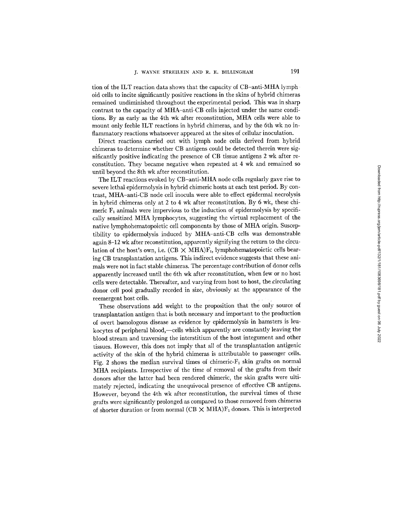tion of the ILT reaction data shows that the capacity of CB-anti-MHA lymph oid cells to incite significantly positive reactions in the skins of hybrid chimeras remained undiminished throughout the experimental period. This was in sharp contrast to the capacity of MHA-anti-CB cells injected under the same conditions. By as early as the 4th wk after reconstitution, MHA cells were able to mount only feeble ILT reactions in hybrid chimeras, and by the 6th wk no inflammatory reactions whatsoever appeared at the sites of cellular inoculation.

Direct reactions carried out with lymph node cells derived from hybrid chimeras to determine whether CB antigens could be detected therein were significantly positive indicating the presence of CB tissue antigens 2 wk after reconstitution. They became negative when repeated at 4 wk and remained so until beyond the 8th wk after reconstitution.

The ILT reactions evoked by CB-anti-MHA node cells regularly gave rise to severe lethal epidermolysis in hybrid chimeric hosts at each test period. By contrast, MHA-anti-CB node cell inocula were able to effect epidermal necrolysis in hybrid chimeras only at 2 to 4 wk after reconstitution. By 6 wk, these chimeric  $F_1$  animals were impervious to the induction of epidermolysis by specifically sensitized MHA lymphocytes, suggesting the virtual replacement of the native lymphohematopoietic cell components by those of MHA origin. Susceptibility to epidermolysis induced by MHA-anti-CB cells was demonstrable again 8-12 wk after reconstitution, apparently signifying the return to the circulation of the host's own, i.e.  $(CB \times MHA)F_1$ , lymphohematopoietic cells bearing CB transplantation antigens. This indirect evidence suggests that these animals were not in fact stable chimeras. The percentage contribution of donor cells apparently increased until the 6th wk after reconstitution, when few or no host ceils were detectable. Thereafter, and varying from host to host, the circulating donor cell pool gradually receded in size, obviously at the appearance of the reemergent host cells.

These observations add weight to the proposition that the only source of transplantation antigen that is both necessary and important to the production of overt homologous disease as evidence by epidermolysis in hamsters is leukocytes of peripheral blood,—cells which apparently are constantly leaving the blood stream and traversing the interstitium of the host integument and other tissues. However, this does not imply that all of the transplantation antigenic activity of the skin of the hybrid chimeras is attributable to passenger cells. Fig. 2 shows the median survival times of chimeric- $F_1$  skin grafts on normal MHA recipients. Irrespective of the time of removal of the grafts from their donors after the latter had been rendered chimeric, the skin grafts were ultimately rejected, indicating the unequivocal presence of effective CB antigens. However, beyond the 4th wk after reconstitution, the survival times of these grafts were significantly prolonged as compared to those removed from chimeras of shorter duration or from normal (CB  $\times$  MHA) $F_1$  donors. This is interpreted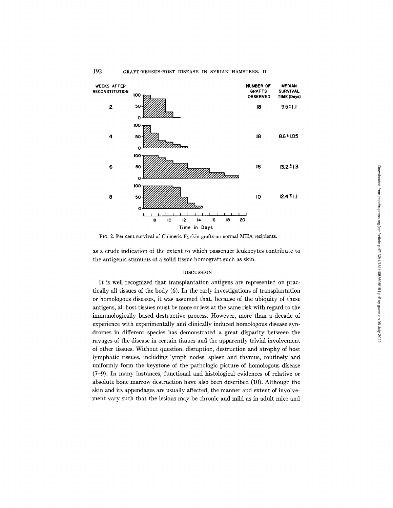

# 192 GRAFT-VERSUS-HOST DISEASE IN SYRIAN HAMSTERS. II

FIG. 2. Per cent survival of Chimeric F1 skin grafts on normal MHA recipients.

as a crude indication of the extent to which passenger leukocytes contribute to the antigenic stimulus of a solid tissue homograft such as skin.

## DISCUSSION

It is well recognized that transplantation antigens are represented on practically all tissues of the body (6). In the early investigations of transplantation or homologous diseases, it was assumed that, because of the ubiquity of these antigens, all host tissues must be more or less at the same risk with regard to the immunologically based destructive process. However, more than a decade of experience with experimentally and clinically induced homologous disease syndromes in different species has demonstrated a great disparity between the ravages of the disease in certain tissues and the apparently trivial involvement of other tissues. Without question, disruption, destruction and atrophy of host lymphatic tissues, including lymph nodes, spleen and thymus, routinely and uniformly form the keystone of the pathologic picture of homologous disease (7-9). In many instances, functional and histological evidences of relative or absolute bone marrow destruction have also been described (10). Although the skin and its appendages are usually affected, the manner and extent of involvement vary such that the lesions may be chronic and mild as in adult mice and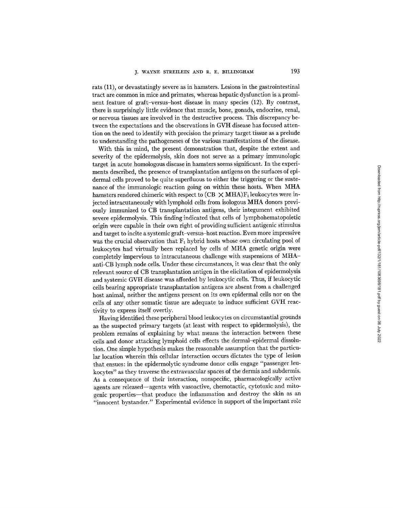rats (11), or devastatingly severe as in hamsters. Lesions in the gastrointestinal tract are common in mice and primates, whereas hepatic dysfunction is a prominent feature of graft-versus-host disease in many species (12). By contrast, there is surprisingly little evidence that muscle, bone, gonads, endocrine, renal, or nervous tissues are involved in the destructive process. This discrepancy between the expectations and the observations in GVH disease has focused attention on the need to identify with precision the primary target tissue as a prelude to understanding the pathogeneses of the various manifestations of the disease.

With this in mind, the present demonstration that, despite the extent and severity of the epidermolysis, skin does not serve as a primary immunologic target in acute homologous disease in hamsters seems significant. In the experiments described, the presence of transplantation antigens on the surfaces of epidermal cells proved to be quite superfluous to either the triggering or the sustenance of the immunologic reaction going on within these hosts. When MHA hamsters rendered chimeric with respect to  $(CB \times MHA)F_1$  leukocytes were injected intracutaneously with lymphoid cells from isologous MHA donors previously immunized to CB transplantation antigens, their integument exhibited severe epidermolysis. This finding indicated that cells of lymphohematopoietic origin were capable in their own right of providing sufficient antigenic stimulus and target to incite a systemic graft-versus-host reaction. Even more impressive was the crucial observation that  $F_1$  hybrid hosts whose own circulating pool of leukocytes had virtually been replaced by cells of MHA genetic origin were completely impervious to intracutaneous challenge with suspensions of MHAanti-CB lymph node cells. Under these circumstances, it was clear that the only relevant source of CB transplantation antigen in the elicitation of epidermolysis and systemic GVH disease was afforded by leukocytic cells. Thus, if leukocytic cells bearing appropriate transplantation antigens are absent from a challenged host animal, neither the antigens present on its own epidermal cells nor on the cells of any other somatic tissue are adequate to induce sufficient GVH reactivity to express itself overtly.

Having identified these peripheral blood leukocytes on circumstantial grounds as the suspected primary targets (at least with respect to epidermolysis), the problem remains of explaining by what means the interaction between these cells and donor attacking lymphoid cells effects the dermal-epidermal dissolution. One simple hypothesis makes the reasonable assumption that the particular location wherein this cellular interaction occurs dictates the type of lesion that ensues: in the epidermolytic syndrome donor cells engage "passenger leukocytes" as they traverse the extravascular spaces of the dermis and subdermis. As a consequence of their interaction, nonspecific, pharmacologically active agents are released--agents with vasoactive, chemotactic, cytotoxic and mitogenic properties--that produce the inflammation and destroy the skin as an *"innocent* bystander." Experimental evidence in support of the important role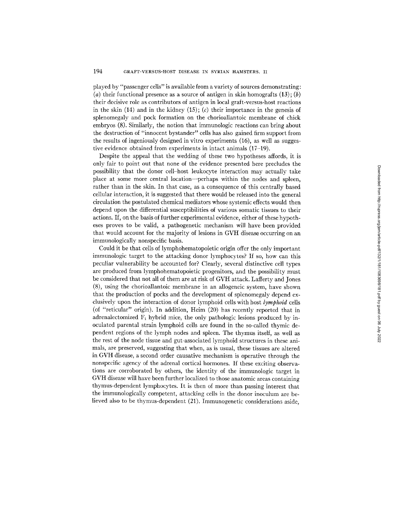played by "passenger cells" is available from a variety of sources demonstrating: (a) their functional presence as a source of antigen in skin homografts  $(13)$ ;  $(b)$ their decisive role as contributors of antigen in local graft-versus-host reactions in the skin  $(14)$  and in the kidney  $(15)$ ;  $(c)$  their importance in the genesis of splenomegaly and pock formation on the chorioallantoic membrane of chick embryos (8). Similarly, the notion that immunologic reactions can bring about the destruction of "innocent bystander" cells has also gained firm support from the results of ingeniously designed in vitro experiments (16), as well as suggestive evidence obtained from experiments in intact animals (17-19).

Despite the appeal that the wedding of these two hypotheses affords, it is only fair to point out that none of the evidence presented here precludes the possibility that the donor cell-host leukocyte interaction may actually take place at some more central location--perhaps within the nodes and spleen, rather than in the skin. In that case, as a consequence of this centrally based cellular interaction, it is suggested that there would be released into the general circulation the postulated chemical mediators whose systemic effects would then depend upon the differential susceptibilities of various somatic tissues to their actions. If, on the basis of further experimental evidence, either of these hypotheses proves to be valid, a pathogenetic mechanism will have been provided that would account for the majority of lesions in GVH disease occurring on an immunologically nonspecific basis.

Could it be that ceils of lymphohematopoietic origin offer the only important immunologic target to the attacking donor lymphocytes? If so, how can this peculiar vulnerability be accounted for? Clearly, several distinctive cell types are produced from lymphohematopoietic progenitors, and the possibility must be considered that not all of them are at risk of GVH attack. Lafferty and Jones (8), using the chorioallantoic membrane in an allogeneic system, have shown that the production of pocks and the development of splenomegaly depend exclusively upon the interaction of donor lymphoid cells with host *lymphoid* cells (of "reticular" origin). In addition, Heim (20) has recently reported that in adrenalectomized  $F_1$  hybrid mice, the only pathologic lesions produced by inoculated parental strain lymphoid cells are found in the so-called thymic dependent regions of the lymph nodes and spleen. The thymus itself, as well as the rest of the node tissue and gut-associated lymphoid structures in these animals, are preserved, suggesting that when, as is usual, these tissues are altered in GVH disease, a second order causative mechanism is operative through the nonspecific agency of the adrenal cortical hormones. If these exciting observations are corroborated by others, the identity of the immunologic target in GVH disease will have been further localized to those anatomic areas containing thymus-dependent lymphocytes. It is then of more than passing interest that the immunologically competent, attacking cells in the donor inoculum are believed also to be thymus-dependent (21). Immunogenetic considerations aside,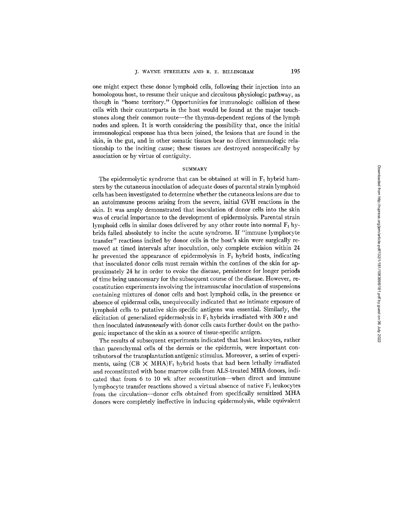one might expect these donor lymphoid cells, following their injection into an homologous host, to resume their unique and circuitous physiologic pathway, as though in "home territory." Opportunities for immunologic collision of these cells with their counterparts in the host would be found at the major touchstones along their common route—the thymus-dependent regions of the lymph nodes and spleen. It is worth considering the possibility that, once the initial immunological response has thus been joined, the lesions that are found in the skin, in the gut, and in other somatic tissues bear no direct immunologic relationship to the inciting cause; these tissues are destroyed nonspecifically by association or by virtue of contiguity.

#### **SUMMARY**

The epidermolytic syndrome that can be obtained at will in  $F_1$  hybrid hamsters by the cutaneous inoculation of adequate doses of parental strain lymphoid cells has been investigated to determine whether the cutaneous lesions are due to an autoimmune process arising from the severe, initial GVH reactions in the skin. It was amply demonstrated that inoculation of donor cells into the skin was of crucial importance to the development of epidermolysis. Parental strain lymphoid cells in similar doses delivered by any other route into normal  $F_1$  hybrids failed absolutely to incite the acute syndrome. If "immune lymphocyte transfer" reactions incited by donor ceils in the host's skin were surgically removed at timed intervals after inoculation, only complete excision within 24 hr prevented the appearance of epidermolysis in  $F_1$  hybrid hosts, indicating that inoculated donor cells must remain within the confines of the skin for approximately 24 hr in order to evoke the disease, persistence for longer periods of time being unnecessary for the subsequent course of the disease. However, reconstitution experiments involving the intramuscular inoculation of suspensions containing mixtures of donor cells and host lymphoid cells, in the presence or absence of epidermal cells, unequivocally indicated that *no* intimate exposure of lymphoid cells to putative skin-specific antigens was essential. Similarly, the elicitation of generalized epidermolysis in  $F_1$  hybrids irradiated with 300 r and then inoculated *intravenously* with donor cells casts further doubt on the pathogenic importance of the skin as a source of tissue-specific antigen.

The results of subsequent experiments indicated that host leukocytes, rather than parenchymal cells of the dermis or the epidermis, were important contributors of the transplantation antigenic stimulus. Moreover, a series of experiments, using  $(CB \times MHA)F_1$  hybrid hosts that had been lethally irradiated and reconstituted with bone marrow cells from ALS-treated MHA donors, indicated that from 6 to 10 wk after reconstitution-when direct and immune lymphocyte transfer reactions showed a virtual absence of native  $F_1$  leukocytes from the circulation--donor cells obtained from specifically sensitized MHA donors were completely ineffective in inducing epidermolysis, while equivalent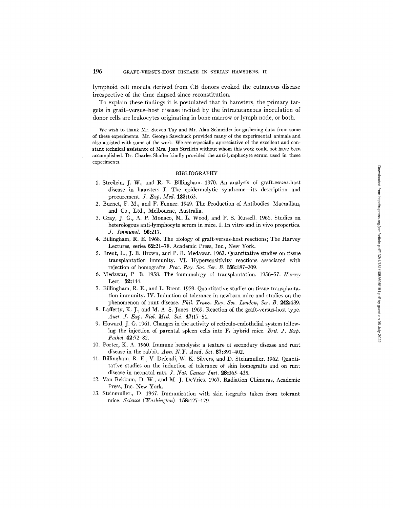lymphoid cell inocula derived from CB donors evoked the cutaneous disease irrespective of the time elapsed since reconstitution.

To explain these findings it is postulated that in hamsters, the primary targets in graft-versus-host disease incited by the intracutaneous inoculation of donor cells are leukocytes originating in bone marrow or lymph node, or both.

We wish to thank Mr. Steven Tay and Mr. Alan Schneider for gathering data from some of these experiments. Mr. George Sawchuck provided many of the experimental animals and also assisted with some of the work. We are especially appreciative of the excellent and constant technical assistance of Mrs. Joan Streilein without whom this work could not have been accomplished. Dr. Charles Shaffer kindly provided the anti-lymphocyte serum used in these experiments.

## BIBLIOGRAPHY

- 1. Streilein, J. W., and R. E. Billingham. 1970. An analysis of *graft-versus-host*  disease in hamsters I. The epidermolytic syndrome--its description and procurement. *J. Exp. Med.* 132:163.
- 2. Burnet, F. M., and F. Fenner. 1949. The Production of Antibodies. Macmillan, and Co., Ltd., Melbourne, Australia.
- 3. Gray, J. G., A. P. Monaco, M. L. Wood, and P. S. Russell. 1966. Studies on heterologous anti-lymphocyte serum in mice. I. In vitro and in vivo properties. *J. Immunol.* 96:217.
- 4. Billingham, R. E. 1968. The biology of graft-versus-host reactions; The Harvey Lectures, series 62:21-78. Academic Press, Inc., New York.
- 5. Brent, L., J. B. Brown, and P. B. Medawar. 1962. Quantitative studies on tissue transplantation immunity. VI. Hypersensitivity reactions associated with rejection of homografts. *Proc. Roy. Soc. Ser. B.* 156:187-209.
- 6. Medawar, P. B. 1958. The immunology of transplantation. 1956-57. *Harvey*  Lect. 52:144.
- 7. Billingham, R. E., and L. Brent. 1959. Quantitative studies on tissue transplantation immunity. IV. Induction of tolerance in newborn mice and studies on the phenomenon of runt disease. *Phil. Trans. Roy. Soc. London, Ser. B.* 242:439.
- 8. Lafferty, K. J., and M. A. S. Jones. 1969. Reaction of the graft-versus-host type. *Aust. J. Exp. Biol. Med. Sci.* 47:17-54.
- 9. Howard, J. G. 1961. Changes in the activity of reticulo-endothelial system following the injection of parental spleen cells into  $F_1$  hybrid mice. *Brit.* J.  $Exp$ . *Pathol.* 42:72-82.
- 10. Porter, K. A. 1960. Immune hemolysis: a feature of secondary disease and runt disease in the rabbit. *Ann. N.Y. Acad. Sci.* **87:**391-402.
- 11. Billingham, R. E., V. Defendi, W. K. Silvers, and D. Steinmuller. 1962. Quantitative studies on the induction of tolerance of skin homografts and on runt disease in neonatal rats. *J. Nat. Cancer Inst.* 28:365-435.
- 12. Van Bekkum, D. W., and M. J. DeVries. 1967. Radiation Chimeras, Academic Press, Inc. New York.
- 13. Steinmuller., D. 1967. Immunization with skin isografts taken from tolerant mice. *Science (Washington).* 158:127-129.